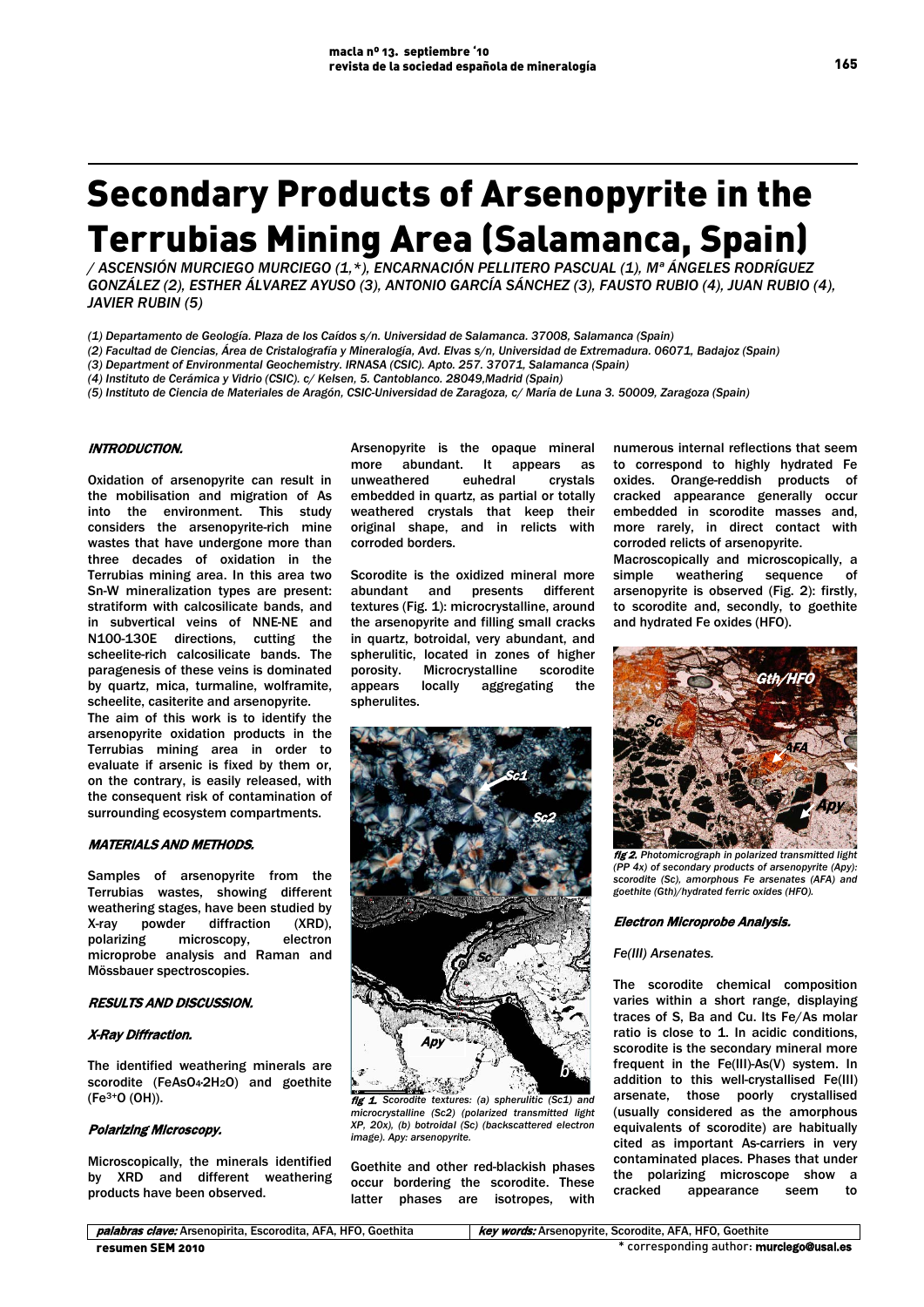# Secondary Products of Arsenopyrite in the Terrubias Mining Area (Salamanca, Spain)

*/ ASCENSIÓN MURCIEGO MURCIEGO (1,\*), ENCARNACIÓN PELLITERO PASCUAL (1), Mª ÁNGELES RODRÍGUEZ GONZÁLEZ (2), ESTHER ÁLVAREZ AYUSO (3), ANTONIO GARCÍA SÁNCHEZ (3), FAUSTO RUBIO (4), JUAN RUBIO (4), JAVIER RUBIN (5)*

*(1) Departamento de Geología. Plaza de los Caídos s/n. Universidad de Salamanca. 37008, Salamanca (Spain)*

*(2) Facultad de Ciencias, Área de Cristalografía y Mineralogía, Avd. Elvas s/n, Universidad de Extremadura. 06071, Badajoz (Spain)* 

*(3) Department of Environmental Geochemistry. IRNASA (CSIC). Apto. 257. 37071, Salamanca (Spain)*

*(4) Instituto de Cerámica y Vidrio (CSIC). c/ Kelsen, 5. Cantoblanco. 28049,Madrid (Spain)* 

*(5) Instituto de Ciencia de Materiales de Aragón, CSIC-Universidad de Zaragoza, c/ María de Luna 3. 50009, Zaragoza (Spain)*

# INTRODUCTION.

Oxidation of arsenopyrite can result in the mobilisation and migration of As into the environment. This study considers the arsenopyrite-rich mine wastes that have undergone more than three decades of oxidation in the Terrubias mining area. In this area two Sn-W mineralization types are present: stratiform with calcosilicate bands, and in subvertical veins of NNE-NE and N100-130E directions, cutting the scheelite-rich calcosilicate bands. The paragenesis of these veins is dominated by quartz, mica, turmaline, wolframite, scheelite, casiterite and arsenopyrite.

The aim of this work is to identify the arsenopyrite oxidation products in the Terrubias mining area in order to evaluate if arsenic is fixed by them or, on the contrary, is easily released, with the consequent risk of contamination of surrounding ecosystem compartments.

# MATERIALS AND METHODS.

Samples of arsenopyrite from the Terrubias wastes, showing different weathering stages, have been studied by X-ray powder diffraction (XRD), polarizing microscopy, electron microprobe analysis and Raman and Mössbauer spectroscopies.

## RESULTS AND DISCUSSION.

# X-Ray Diffraction.

The identified weathering minerals are scorodite (FeAsO<sub>4</sub>-2H<sub>2</sub>O) and goethite (Fe3+O (OH)).

# Polarizing Microscopy.

Microscopically, the minerals identified by XRD and different weathering products have been observed.

Arsenopyrite is the opaque mineral more abundant. It appears as unweathered euhedral crystals embedded in quartz, as partial or totally weathered crystals that keep their original shape, and in relicts with corroded borders.

Scorodite is the oxidized mineral more abundant and presents different textures (Fig. 1): microcrystalline, around the arsenopyrite and filling small cracks in quartz, botroidal, very abundant, and spherulitic, located in zones of higher<br>porosity. Microcrystalline scorodite Microcrystalline appears locally aggregating the spherulites.



fig 1. *Scorodite textures: (a) spherulitic (Sc1) and microcrystalline (Sc2) (polarized transmitted light XP, 20x), (b) botroidal (Sc) (backscattered electron image). Apy: arsenopyrite.*

Goethite and other red-blackish phases occur bordering the scorodite. These latter phases are isotropes, with

numerous internal reflections that seem to correspond to highly hydrated Fe oxides. Orange-reddish products of cracked appearance generally occur embedded in scorodite masses and, more rarely, in direct contact with corroded relicts of arsenopyrite.

Macroscopically and microscopically, a simple weathering sequence of arsenopyrite is observed (Fig. 2): firstly, to scorodite and, secondly, to goethite and hydrated Fe oxides (HFO).



fig 2. *Photomicrograph in polarized transmitted light (PP 4x) of secondary products of arsenopyrite (Apy): scorodite (Sc), amorphous Fe arsenates (AFA) and goethite (Gth)/hydrated ferric oxides (HFO).*

#### Electron Microprobe Analysis.

#### *Fe(III) Arsenates.*

The scorodite chemical composition varies within a short range, displaying traces of S, Ba and Cu. Its Fe/As molar ratio is close to 1. In acidic conditions, scorodite is the secondary mineral more frequent in the Fe(III)-As(V) system. In addition to this well-crystallised Fe(III) arsenate, those poorly crystallised (usually considered as the amorphous equivalents of scorodite) are habitually cited as important As-carriers in very contaminated places. Phases that under the polarizing microscope show a<br>cracked appearance seem to appearance seem to

**palabras clave:** Arsenopirita, Escorodita, AFA, HFO, Goethita key words: Arsenopyrite, Scorodite, AFA, HFO, Goethite